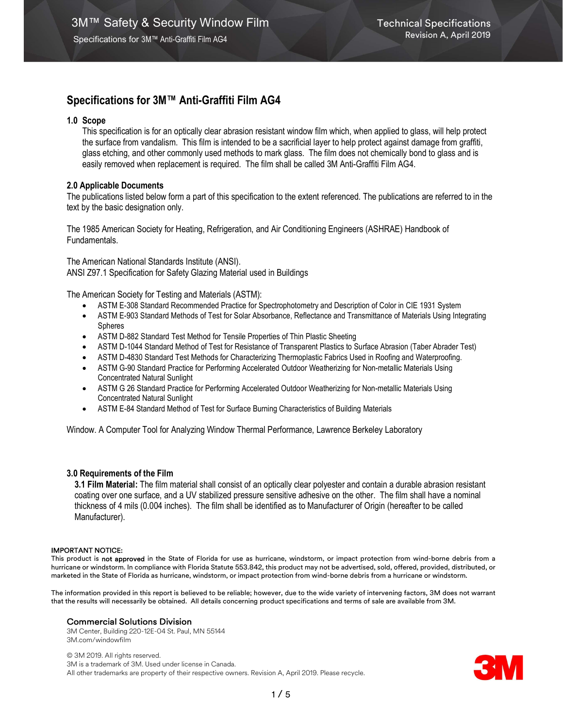## 1.0 Scope

This specification is for an optically clear abrasion resistant window film which, when applied to glass, will help protect the surface from vandalism. This film is intended to be a sacrificial layer to help protect against damage from graffiti, glass etching, and other commonly used methods to mark glass. The film does not chemically bond to glass and is easily removed when replacement is required. The film shall be called 3M Anti-Graffiti Film AG4.

## 2.0 Applicable Documents

The publications listed below form a part of this specification to the extent referenced. The publications are referred to in the text by the basic designation only.

The 1985 American Society for Heating, Refrigeration, and Air Conditioning Engineers (ASHRAE) Handbook of Fundamentals.

The American National Standards Institute (ANSI). ANSI Z97.1 Specification for Safety Glazing Material used in Buildings

The American Society for Testing and Materials (ASTM):

- ASTM E-308 Standard Recommended Practice for Spectrophotometry and Description of Color in CIE 1931 System
- ASTM E-903 Standard Methods of Test for Solar Absorbance, Reflectance and Transmittance of Materials Using Integrating Spheres
- ASTM D-882 Standard Test Method for Tensile Properties of Thin Plastic Sheeting
- ASTM D-1044 Standard Method of Test for Resistance of Transparent Plastics to Surface Abrasion (Taber Abrader Test)
- ASTM D-4830 Standard Test Methods for Characterizing Thermoplastic Fabrics Used in Roofing and Waterproofing.
- ASTM G-90 Standard Practice for Performing Accelerated Outdoor Weatherizing for Non-metallic Materials Using Concentrated Natural Sunlight
- ASTM G 26 Standard Practice for Performing Accelerated Outdoor Weatherizing for Non-metallic Materials Using Concentrated Natural Sunlight
- ASTM E-84 Standard Method of Test for Surface Burning Characteristics of Building Materials

Window. A Computer Tool for Analyzing Window Thermal Performance, Lawrence Berkeley Laboratory

## 3.0 Requirements of the Film

3.1 Film Material: The film material shall consist of an optically clear polyester and contain a durable abrasion resistant coating over one surface, and a UV stabilized pressure sensitive adhesive on the other. The film shall have a nominal thickness of 4 mils (0.004 inches). The film shall be identified as to Manufacturer of Origin (hereafter to be called Manufacturer).

### IMPORTANT NOTICE:

This product is not approved in the State of Florida for use as hurricane, windstorm, or impact protection from wind-borne debris from a hurricane or windstorm. In compliance with Florida Statute 553.842, this product may not be advertised, sold, offered, provided, distributed, or marketed in the State of Florida as hurricane, windstorm, or impact protection from wind-borne debris from a hurricane or windstorm.

The information provided in this report is believed to be reliable; however, due to the wide variety of intervening factors, 3M does not warrant that the results will necessarily be obtained. All details concerning product specifications and terms of sale are available from 3M.

### Commercial Solutions Division

3M Center, Building 220-12E-04 St. Paul, MN 55144 3M.com/windowfilm

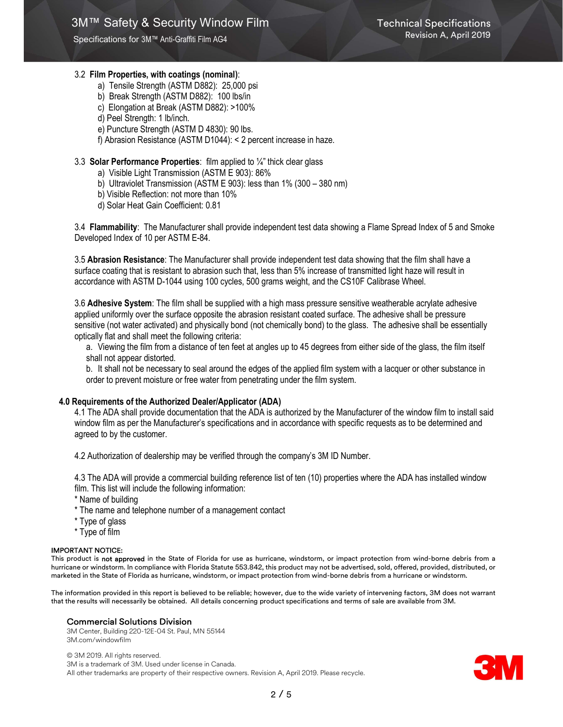## 3.2 Film Properties, with coatings (nominal):

- a) Tensile Strength (ASTM D882): 25,000 psi
- b) Break Strength (ASTM D882): 100 lbs/in
- c) Elongation at Break (ASTM D882): >100%
- d) Peel Strength: 1 lb/inch.
- e) Puncture Strength (ASTM D 4830): 90 lbs.
- f) Abrasion Resistance (ASTM D1044): < 2 percent increase in haze.

## 3.3 Solar Performance Properties: film applied to ¼" thick clear glass

- a) Visible Light Transmission (ASTM E 903): 86%
- b) Ultraviolet Transmission (ASTM E 903): less than 1% (300 380 nm)
- b) Visible Reflection: not more than 10%
- d) Solar Heat Gain Coefficient: 0.81

3.4 Flammability: The Manufacturer shall provide independent test data showing a Flame Spread Index of 5 and Smoke Developed Index of 10 per ASTM E-84.

3.5 Abrasion Resistance: The Manufacturer shall provide independent test data showing that the film shall have a surface coating that is resistant to abrasion such that, less than 5% increase of transmitted light haze will result in accordance with ASTM D-1044 using 100 cycles, 500 grams weight, and the CS10F Calibrase Wheel.

3.6 Adhesive System: The film shall be supplied with a high mass pressure sensitive weatherable acrylate adhesive applied uniformly over the surface opposite the abrasion resistant coated surface. The adhesive shall be pressure sensitive (not water activated) and physically bond (not chemically bond) to the glass. The adhesive shall be essentially optically flat and shall meet the following criteria:

a. Viewing the film from a distance of ten feet at angles up to 45 degrees from either side of the glass, the film itself shall not appear distorted.

b. It shall not be necessary to seal around the edges of the applied film system with a lacquer or other substance in order to prevent moisture or free water from penetrating under the film system.

## 4.0 Requirements of the Authorized Dealer/Applicator (ADA)

4.1 The ADA shall provide documentation that the ADA is authorized by the Manufacturer of the window film to install said window film as per the Manufacturer's specifications and in accordance with specific requests as to be determined and agreed to by the customer.

4.2 Authorization of dealership may be verified through the company's 3M ID Number.

4.3 The ADA will provide a commercial building reference list of ten (10) properties where the ADA has installed window film. This list will include the following information:

\* Name of building

- \* The name and telephone number of a management contact
- \* Type of glass
- \* Type of film

### IMPORTANT NOTICE:

This product is not approved in the State of Florida for use as hurricane, windstorm, or impact protection from wind-borne debris from a hurricane or windstorm. In compliance with Florida Statute 553.842, this product may not be advertised, sold, offered, provided, distributed, or marketed in the State of Florida as hurricane, windstorm, or impact protection from wind-borne debris from a hurricane or windstorm.

The information provided in this report is believed to be reliable; however, due to the wide variety of intervening factors, 3M does not warrant that the results will necessarily be obtained. All details concerning product specifications and terms of sale are available from 3M.

## Commercial Solutions Division

3M Center, Building 220-12E-04 St. Paul, MN 55144 3M.com/windowfilm

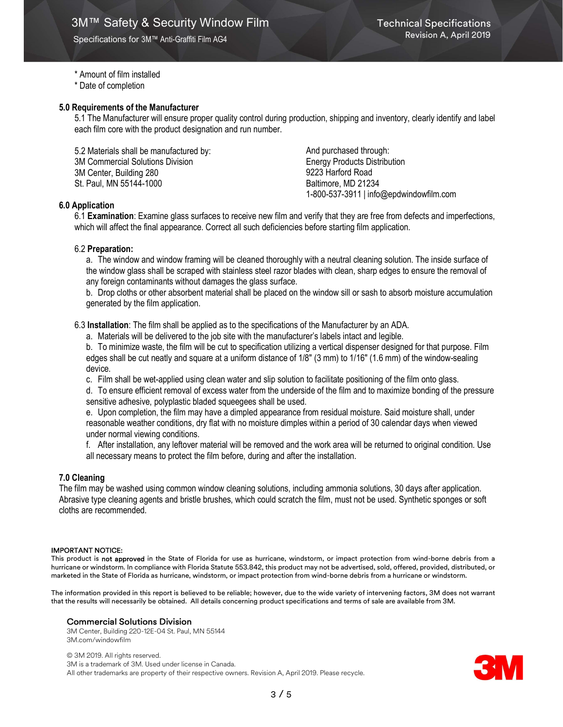### \* Amount of film installed

\* Date of completion

### 5.0 Requirements of the Manufacturer

5.1 The Manufacturer will ensure proper quality control during production, shipping and inventory, clearly identify and label each film core with the product designation and run number.

5.2 Materials shall be manufactured by: 3M Commercial Solutions Division 3M Center, Building 280 St. Paul, MN 55144-1000

And purchased through: Energy Products Distribution 9223 Harford Road Baltimore, MD 21234 1-800-537-3911 | info@epdwindowfilm.com

### 6.0 Application

6.1 Examination: Examine glass surfaces to receive new film and verify that they are free from defects and imperfections, which will affect the final appearance. Correct all such deficiencies before starting film application.

#### 6.2 Preparation:

a. The window and window framing will be cleaned thoroughly with a neutral cleaning solution. The inside surface of the window glass shall be scraped with stainless steel razor blades with clean, sharp edges to ensure the removal of any foreign contaminants without damages the glass surface.

b. Drop cloths or other absorbent material shall be placed on the window sill or sash to absorb moisture accumulation generated by the film application.

6.3 Installation: The film shall be applied as to the specifications of the Manufacturer by an ADA.

a. Materials will be delivered to the job site with the manufacturer's labels intact and legible.

b. To minimize waste, the film will be cut to specification utilizing a vertical dispenser designed for that purpose. Film edges shall be cut neatly and square at a uniform distance of 1/8" (3 mm) to 1/16" (1.6 mm) of the window-sealing device.

c. Film shall be wet-applied using clean water and slip solution to facilitate positioning of the film onto glass.

d. To ensure efficient removal of excess water from the underside of the film and to maximize bonding of the pressure sensitive adhesive, polyplastic bladed squeegees shall be used.

e. Upon completion, the film may have a dimpled appearance from residual moisture. Said moisture shall, under reasonable weather conditions, dry flat with no moisture dimples within a period of 30 calendar days when viewed under normal viewing conditions.

f. After installation, any leftover material will be removed and the work area will be returned to original condition. Use all necessary means to protect the film before, during and after the installation.

### 7.0 Cleaning

The film may be washed using common window cleaning solutions, including ammonia solutions, 30 days after application. Abrasive type cleaning agents and bristle brushes, which could scratch the film, must not be used. Synthetic sponges or soft cloths are recommended.

#### IMPORTANT NOTICE:

This product is not approved in the State of Florida for use as hurricane, windstorm, or impact protection from wind-borne debris from a hurricane or windstorm. In compliance with Florida Statute 553.842, this product may not be advertised, sold, offered, provided, distributed, or marketed in the State of Florida as hurricane, windstorm, or impact protection from wind-borne debris from a hurricane or windstorm.

The information provided in this report is believed to be reliable; however, due to the wide variety of intervening factors, 3M does not warrant that the results will necessarily be obtained. All details concerning product specifications and terms of sale are available from 3M.

#### Commercial Solutions Division

3M Center, Building 220-12E-04 St. Paul, MN 55144 3M.com/windowfilm

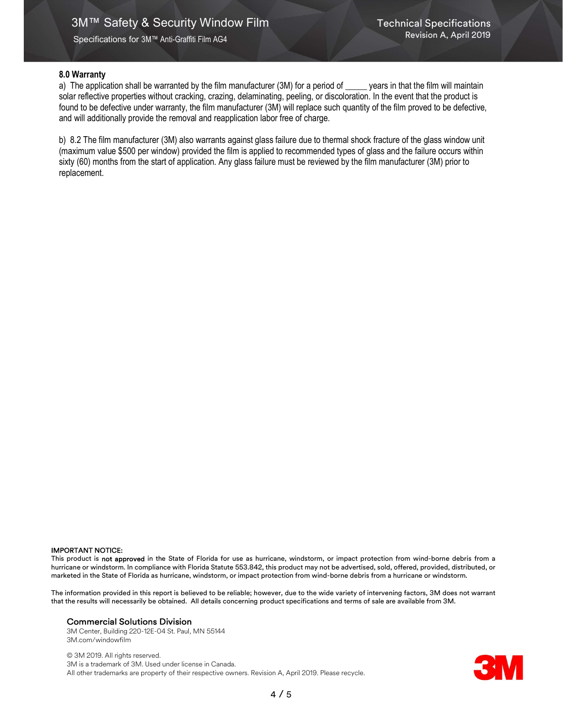## 8.0 Warranty

a) The application shall be warranted by the film manufacturer (3M) for a period of \_\_\_\_\_ years in that the film will maintain solar reflective properties without cracking, crazing, delaminating, peeling, or discoloration. In the event that the product is found to be defective under warranty, the film manufacturer (3M) will replace such quantity of the film proved to be defective, and will additionally provide the removal and reapplication labor free of charge.

b) 8.2 The film manufacturer (3M) also warrants against glass failure due to thermal shock fracture of the glass window unit (maximum value \$500 per window) provided the film is applied to recommended types of glass and the failure occurs within sixty (60) months from the start of application. Any glass failure must be reviewed by the film manufacturer (3M) prior to replacement.

#### IMPORTANT NOTICE:

This product is not approved in the State of Florida for use as hurricane, windstorm, or impact protection from wind-borne debris from a hurricane or windstorm. In compliance with Florida Statute 553.842, this product may not be advertised, sold, offered, provided, distributed, or marketed in the State of Florida as hurricane, windstorm, or impact protection from wind-borne debris from a hurricane or windstorm.

The information provided in this report is believed to be reliable; however, due to the wide variety of intervening factors, 3M does not warrant that the results will necessarily be obtained. All details concerning product specifications and terms of sale are available from 3M.

#### Commercial Solutions Division

3M Center, Building 220-12E-04 St. Paul, MN 55144 3M.com/windowfilm